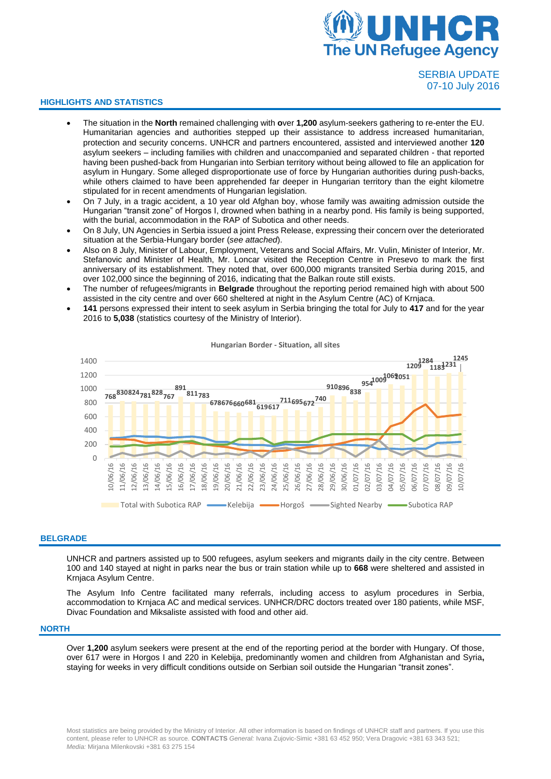

## SERBIA UPDATE 07-10 July 2016

## **HIGHLIGHTS AND STATISTICS**

- The situation in the **North** remained challenging with **o**ver **1,200** asylum-seekers gathering to re-enter the EU. Humanitarian agencies and authorities stepped up their assistance to address increased humanitarian, protection and security concerns. UNHCR and partners encountered, assisted and interviewed another **120** asylum seekers – including families with children and unaccompanied and separated children - that reported having been pushed-back from Hungarian into Serbian territory without being allowed to file an application for asylum in Hungary. Some alleged disproportionate use of force by Hungarian authorities during push-backs, while others claimed to have been apprehended far deeper in Hungarian territory than the eight kilometre stipulated for in recent amendments of Hungarian legislation.
- On 7 July, in a tragic accident, a 10 year old Afghan boy, whose family was awaiting admission outside the Hungarian "transit zone" of Horgos I, drowned when bathing in a nearby pond. His family is being supported, with the burial, accommodation in the RAP of Subotica and other needs.
- On 8 July, UN Agencies in Serbia issued a joint Press Release, expressing their concern over the deteriorated situation at the Serbia-Hungary border (*see attached*).
- Also on 8 July, Minister of Labour, Employment, Veterans and Social Affairs, Mr. Vulin, Minister of Interior, Mr. Stefanovic and Minister of Health, Mr. Loncar visited the Reception Centre in Presevo to mark the first anniversary of its establishment. They noted that, over 600,000 migrants transited Serbia during 2015, and over 102,000 since the beginning of 2016, indicating that the Balkan route still exists.
- The number of refugees/migrants in **Belgrade** throughout the reporting period remained high with about 500 assisted in the city centre and over 660 sheltered at night in the Asylum Centre (AC) of Krnjaca.
- **141** persons expressed their intent to seek asylum in Serbia bringing the total for July to **417** and for the year 2016 to **5,038** (statistics courtesy of the Ministry of Interior).



**Hungarian Border - Situation, all sites**

## **BELGRADE**

UNHCR and partners assisted up to 500 refugees, asylum seekers and migrants daily in the city centre. Between 100 and 140 stayed at night in parks near the bus or train station while up to **668** were sheltered and assisted in Krnjaca Asylum Centre.

The Asylum Info Centre facilitated many referrals, including access to asylum procedures in Serbia, accommodation to Krnjaca AC and medical services. UNHCR/DRC doctors treated over 180 patients, while MSF, Divac Foundation and Miksaliste assisted with food and other aid.

## **NORTH**

Over **1,200** asylum seekers were present at the end of the reporting period at the border with Hungary. Of those, over 617 were in Horgos I and 220 in Kelebija, predominantly women and children from Afghanistan and Syria**,** staying for weeks in very difficult conditions outside on Serbian soil outside the Hungarian "transit zones".

Most statistics are being provided by the Ministry of Interior. All other information is based on findings of UNHCR staff and partners. If you use this content, please refer to UNHCR as source. **CONTACTS** *General:* Ivana Zujovic-Simic +381 63 452 950; Vera Dragovic +381 63 343 521; *Media:* Mirjana Milenkovski +381 63 275 154